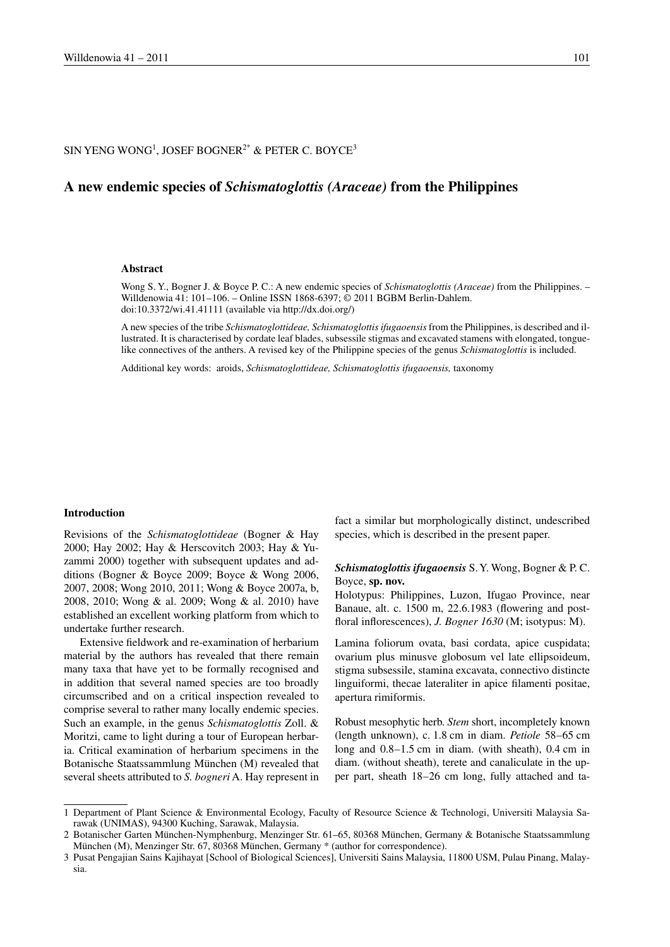## SIN YENG WONG<sup>1</sup>, JOSEF BOGNER<sup>2\*</sup> & PETER C. BOYCE<sup>3</sup>

# A new endemic species of *Schismatoglottis (Araceae)* from the Philippines

#### **Abstract**

Wong S. Y., Bogner J. & Boyce P. C.: A new endemic species of *Schismatoglottis (Araceae)* from the Philippines. -Willdenowia 41: 101-106. - Online ISSN 1868-6397; © 2011 BGBM Berlin-Dahlem. doi:10.3372/wi.41.41111 (available via http://dx.doi.org/)

A new species of the tribe Schismatoglottideae, Schismatoglottis ifugaoensis from the Philippines, is described and illustrated. It is characterised by cordate leaf blades, subsessile stigmas and excavated stamens with elongated, tonguelike connectives of the anthers. A revised key of the Philippine species of the genus Schismatoglottis is included.

Additional key words: aroids, Schismatoglottideae, Schismatoglottis ifugaoensis, taxonomy

### Introduction

Revisions of the *Schismatoglottideae* (Bogner & Hay 2000; Hay 2002; Hay & Herscovitch 2003; Hay & Yuzammi 2000) together with subsequent updates and additions (Bogner & Boyce 2009; Boyce & Wong 2006, 2007, 2008; Wong 2010, 2011; Wong & Boyce 2007a, b, 2008, 2010; Wong & al. 2009; Wong & al. 2010) have established an excellent working platform from which to undertake further research.

Extensive fieldwork and re-examination of herbarium material by the authors has revealed that there remain many taxa that have yet to be formally recognised and in addition that several named species are too broadly circumscribed and on a critical inspection revealed to comprise several to rather many locally endemic species. Such an example, in the genus *Schismatoglottis* Zoll. & Moritzi, came to light during a tour of European herbaria. Critical examination of herbarium specimens in the Botanische Staatssammlung München (M) revealed that several sheets attributed to S. bogneri A. Hay represent in fact a similar but morphologically distinct, undescribed species, which is described in the present paper.

### Schismatoglottis ifugaoensis S.Y. Wong, Bogner & P.C. Boyce, sp. nov.

Holotypus: Philippines, Luzon, Ifugao Province, near Banaue, alt. c. 1500 m, 22.6.1983 (flowering and postfloral inflorescences), *J. Bogner 1630* (M; isotypus: M).

Lamina foliorum ovata, basi cordata, apice cuspidata; ovarium plus minusve globosum vel late ellipsoideum, stigma subsessile, stamina excavata, connectivo distincte linguiformi, thecae lateraliter in apice filamenti positae, apertura rimiformis.

Robust mesophytic herb. Stem short, incompletely known (length unknown), c. 1.8 cm in diam. Petiole 58–65 cm long and 0.8-1.5 cm in diam. (with sheath), 0.4 cm in diam. (without sheath), terete and canaliculate in the upper part, sheath 18–26 cm long, fully attached and ta-

<sup>1</sup> Department of Plant Science & Environmental Ecology, Faculty of Resource Science & Technologi, Universiti Malaysia Sarawak (UNIMAS), 94300 Kuching, Sarawak, Malaysia.

<sup>2</sup> Botanischer Garten München-Nymphenburg, Menzinger Str. 61-65, 80368 München, Germany & Botanische Staatssammlung München (M), Menzinger Str. 67, 80368 München, Germany \* (author for correspondence).

<sup>3</sup> Pusat Pengajian Sains Kajihayat [School of Biological Sciences], Universiti Sains Malaysia, 11800 USM, Pulau Pinang, Malaysia.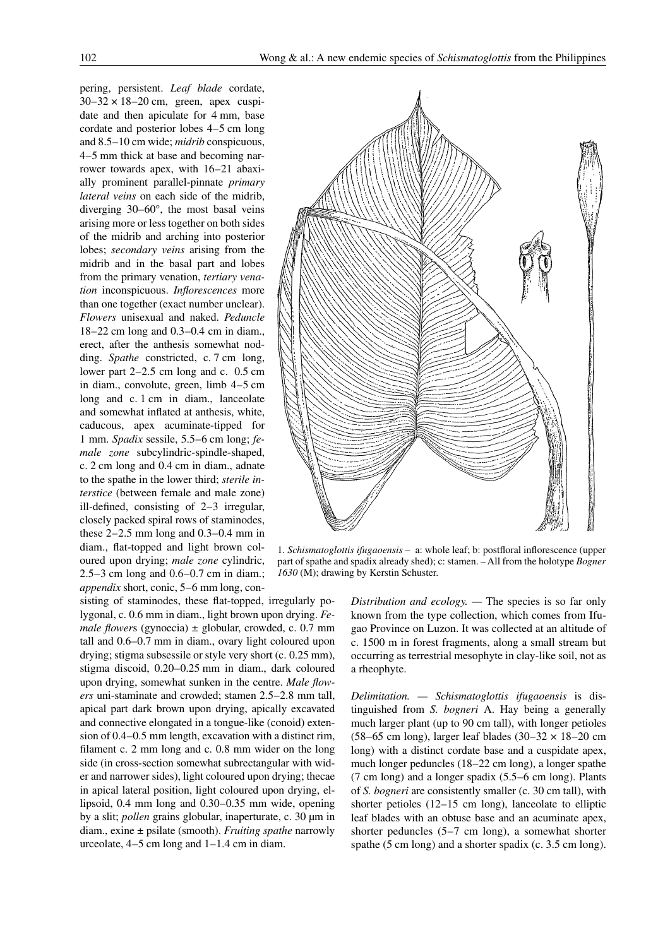pering, persistent. Leaf blade cordate,  $30-32 \times 18-20$  cm, green, apex cuspidate and then apiculate for 4 mm, base cordate and posterior lobes 4–5 cm long and 8.5–10 cm wide; *midrib* conspicuous, 4–5 mm thick at base and becoming narrower towards apex, with 16-21 abaxially prominent parallel-pinnate *primary* lateral veins on each side of the midrib, diverging  $30-60^\circ$ , the most basal veins arising more or less together on both sides of the midrib and arching into posterior lobes; secondary veins arising from the midrib and in the basal part and lobes from the primary venation, tertiary venation inconspicuous. Inflorescences more than one together (exact number unclear). Flowers unisexual and naked. Peduncle  $18-22$  cm long and 0.3-0.4 cm in diam. erect, after the anthesis somewhat nodding. Spathe constricted, c. 7 cm long, lower part  $2-2.5$  cm long and c. 0.5 cm in diam., convolute, green, limb 4–5 cm long and c. 1 cm in diam., lanceolate and somewhat inflated at anthesis, white, caducous, apex acuminate-tipped for 1 mm. Spadix sessile,  $5.5-6$  cm long; female zone subcylindric-spindle-shaped, c. 2 cm long and 0.4 cm in diam., adnate to the spathe in the lower third; *sterile interstice* (between female and male zone) ill-defined, consisting of  $2-3$  irregular,

closely packed spiral rows of staminodes, these  $2-2.5$  mm long and  $0.3-0.4$  mm in diam., flat-topped and light brown coloured upon drying; male zone cylindric, 2.5–3 cm long and  $0.6-0.7$  cm in diam.; *appendix* short, conic, 5–6 mm long, consisting of staminodes, these flat-topped, irregularly po-

lygonal, c. 0.6 mm in diam., light brown upon drying. Fe*male flowers* (gynoecia)  $\pm$  globular, crowded, c. 0.7 mm tall and 0.6–0.7 mm in diam., ovary light coloured upon drying; stigma subsessile or style very short (c. 0.25 mm), stigma discoid, 0.20-0.25 mm in diam., dark coloured upon drying, somewhat sunken in the centre. Male flowers uni-staminate and crowded; stamen 2.5–2.8 mm tall, apical part dark brown upon drying, apically excavated and connective elongated in a tongue-like (conoid) extension of 0.4–0.5 mm length, excavation with a distinct rim, filament c. 2 mm long and c. 0.8 mm wider on the long side (in cross-section somewhat subrectangular with wider and narrower sides), light coloured upon drying; the cae in apical lateral position, light coloured upon drying, ellipsoid, 0.4 mm long and 0.30-0.35 mm wide, opening by a slit; *pollen* grains globular, inaperturate, c. 30 µm in diam., exine  $\pm$  psilate (smooth). Fruiting spathe narrowly urceolate,  $4-5$  cm long and  $1-1.4$  cm in diam.

part of spathe and spadix already shed); c: stamen. - All from the holotype Bogner 1630 (M); drawing by Kerstin Schuster.

> Distribution and ecology.  $-$  The species is so far only known from the type collection, which comes from Ifugao Province on Luzon. It was collected at an altitude of c. 1500 m in forest fragments, along a small stream but occurring as terrestrial mesophyte in clay-like soil, not as a rheophyte.

> Delimitation. — Schismatoglottis ifugaoensis is distinguished from S. bogneri A. Hay being a generally much larger plant (up to 90 cm tall), with longer petioles  $(58-65 \text{ cm long})$ , larger leaf blades  $(30-32 \times 18-20 \text{ cm})$ long) with a distinct cordate base and a cuspidate apex, much longer peduncles (18–22 cm long), a longer spathe (7 cm long) and a longer spadix (5.5–6 cm long). Plants of S. bogneri are consistently smaller (c. 30 cm tall), with shorter petioles  $(12-15 \text{ cm long})$ , lanceolate to elliptic leaf blades with an obtuse base and an acuminate apex, shorter peduncles  $(5-7 \text{ cm long})$ , a somewhat shorter spathe (5 cm long) and a shorter spadix (c. 3.5 cm long).

1. Schismatoglottis ifugaoensis - a: whole leaf; b: postfloral inflorescence (upper

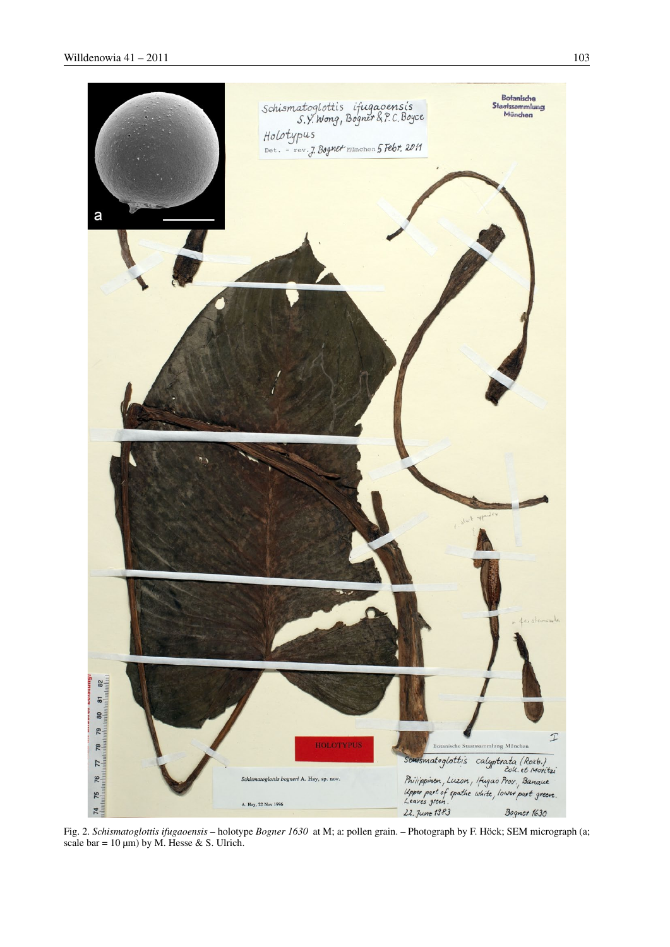

Fig. 2. Schismatoglottis ifugaoensis - holotype Bogner 1630 at M; a: pollen grain. - Photograph by F. Höck; SEM micrograph (a; scale bar =  $10 \mu m$ ) by M. Hesse & S. Ulrich.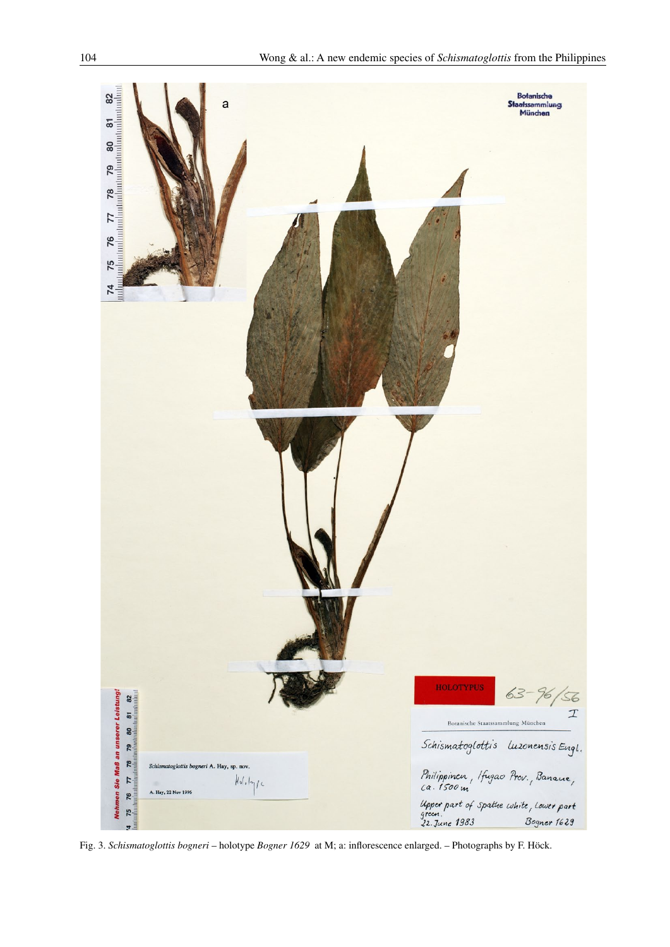

Fig. 3. Schismatoglottis bogneri - holotype Bogner 1629 at M; a: inflorescence enlarged. - Photographs by F. Höck.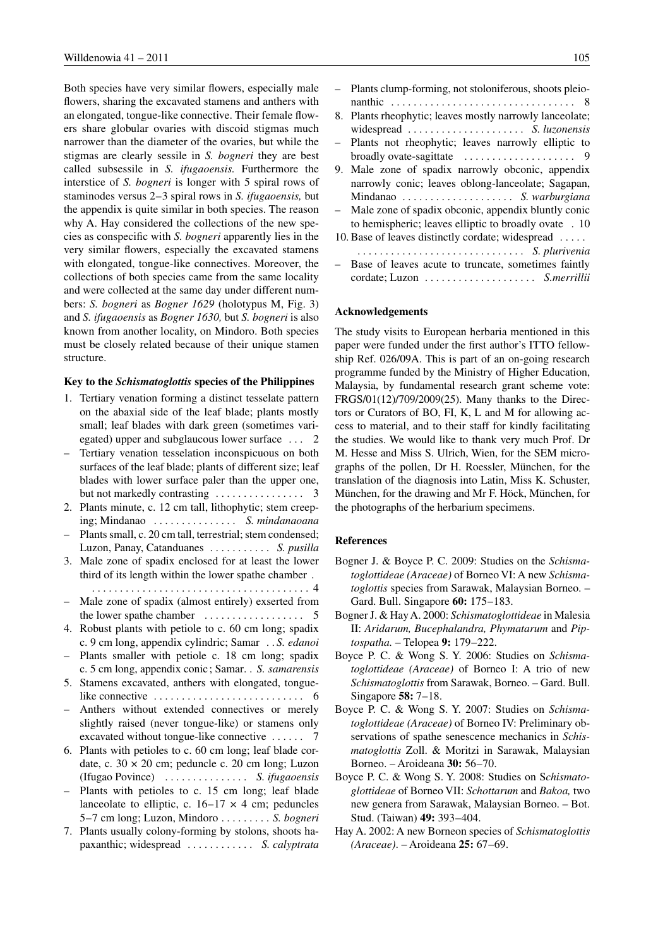Both species have very similar flowers, especially male flowers, sharing the excavated stamens and anthers with an elongated, tongue-like connective. Their female flowers share globular ovaries with discoid stigmas much narrower than the diameter of the ovaries, but while the stigmas are clearly sessile in S. bogneri they are best called subsessile in S. *ifugaoensis*. Furthermore the interstice of S. bogneri is longer with 5 spiral rows of staminodes versus  $2-3$  spiral rows in S. *ifugaoensis*, but the appendix is quite similar in both species. The reason why A. Hay considered the collections of the new species as conspecific with S. bogneri apparently lies in the very similar flowers, especially the excavated stamens with elongated, tongue-like connectives. Moreover, the collections of both species came from the same locality and were collected at the same day under different numbers: S. bogneri as Bogner 1629 (holotypus M, Fig. 3) and S. ifugaoensis as Bogner 1630, but S. bogneri is also known from another locality, on Mindoro. Both species must be closely related because of their unique stamen structure.

### Key to the *Schismatoglottis* species of the Philippines

- 1. Tertiary venation forming a distinct tesselate pattern on the abaxial side of the leaf blade; plants mostly small; leaf blades with dark green (sometimes variegated) upper and subglaucous lower surface ... 2
- Tertiary venation tesselation inconspicuous on both surfaces of the leaf blade; plants of different size; leaf blades with lower surface paler than the upper one,
- 2. Plants minute, c. 12 cm tall, lithophytic; stem creeping; Mindanao .............. S. mindanaoana
- Plants small, c. 20 cm tall, terrestrial; stem condensed; Luzon, Panay, Catanduanes ......... S. pusilla
- 3. Male zone of spadix enclosed for at least the lower third of its length within the lower spathe chamber.
- Male zone of spadix (almost entirely) exserted from the lower spathe chamber  $\dots \dots \dots \dots \dots$  5

- 4. Robust plants with petiole to c. 60 cm long; spadix c. 9 cm long, appendix cylindric; Samar . . S. edanoi
- Plants smaller with petiole c. 18 cm long; spadix c. 5 cm long, appendix conic; Samar. . S. samarensis
- 5. Stamens excavated, anthers with elongated, tonguelike connective  $\dots \dots \dots \dots \dots \dots \dots \dots \dots$  6
- Anthers without extended connectives or merely slightly raised (never tongue-like) or stamens only excavated without tongue-like connective ...... 7
- 6. Plants with petioles to c. 60 cm long; leaf blade cordate, c.  $30 \times 20$  cm; peduncle c.  $20$  cm long; Luzon (Ifugao Povince) .............. S. ifugaoensis
- Plants with petioles to c. 15 cm long; leaf blade lanceolate to elliptic, c.  $16-17 \times 4$  cm; peduncles 5–7 cm long; Luzon, Mindoro ........ S. bogneri
- 7. Plants usually colony-forming by stolons, shoots hapaxanthic; widespread .......... S. calyptrata

| - Plants clump-forming, not stoloniferous, shoots pleio- |
|----------------------------------------------------------|
|                                                          |
| 8. Plants rheophytic; leaves mostly narrowly lanceolate; |
| widespread  S. luzonensis                                |
| - Plants not rheophytic; leaves narrowly elliptic to     |
|                                                          |
| 9. Male zone of spadix narrowly obconic, appendix        |
| narrowly conic; leaves oblong-lanceolate; Sagapan,       |
| Mindanao  S. warburgiana                                 |
| - Male zone of spadix obconic, appendix bluntly conic    |
| to hemispheric; leaves elliptic to broadly ovate . 10    |
| 10. Base of leaves distinctly cordate; widespread        |
| S. plurivenia                                            |
| - Base of leaves acute to truncate, sometimes faintly    |
| cordate: Luzon  S. <i>merrillii</i>                      |

#### **Acknowledgements**

The study visits to European herbaria mentioned in this paper were funded under the first author's ITTO fellowship Ref. 026/09A. This is part of an on-going research programme funded by the Ministry of Higher Education, Malaysia, by fundamental research grant scheme vote: FRGS/01(12)/709/2009(25). Many thanks to the Directors or Curators of BO, FI, K, L and M for allowing access to material, and to their staff for kindly facilitating the studies. We would like to thank very much Prof. Dr M. Hesse and Miss S. Ulrich, Wien, for the SEM micrographs of the pollen, Dr H. Roessler, München, for the translation of the diagnosis into Latin, Miss K. Schuster, München, for the drawing and Mr F. Höck, München, for the photographs of the herbarium specimens.

### **References**

- Bogner J. & Boyce P. C. 2009: Studies on the Schismatoglottideae (Araceae) of Borneo VI: A new Schisma*toglottis* species from Sarawak, Malaysian Borneo. -Gard. Bull. Singapore 60: 175-183.
- Bogner J. & Hay A. 2000: Schismatoglottideae in Malesia II: Aridarum, Bucephalandra, Phymatarum and Piptospatha. - Telopea 9: 179-222.
- Boyce P. C. & Wong S. Y. 2006: Studies on Schismatoglottideae (Araceae) of Borneo I: A trio of new Schismatoglottis from Sarawak, Borneo. - Gard. Bull. Singapore 58:  $7-18$ .
- Boyce P. C. & Wong S. Y. 2007: Studies on Schisma*toglottideae (Araceae)* of Borneo IV: Preliminary observations of spathe senescence mechanics in Schismatoglottis Zoll. & Moritzi in Sarawak, Malaysian Borneo. – Aroideana 30: 56–70.
- Boyce P. C. & Wong S. Y. 2008: Studies on Schismatoglottideae of Borneo VII: Schottarum and Bakoa, two new genera from Sarawak, Malaysian Borneo. - Bot. Stud. (Taiwan) 49: 393-404.
- Hay A. 2002: A new Borneon species of Schismatoglottis (Araceae). - Aroideana 25: 67-69.